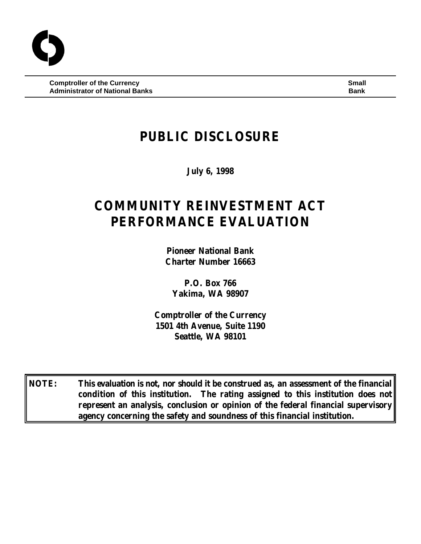**Comptroller of the Currency Small Administrator of National Banks Banks Bank Bank Bank Bank Bank Bank** 

# **PUBLIC DISCLOSURE**

**July 6, 1998**

# **COMMUNITY REINVESTMENT ACT PERFORMANCE EVALUATION**

**Pioneer National Bank Charter Number 16663**

**P.O. Box 766 Yakima, WA 98907**

**Comptroller of the Currency 1501 4th Avenue, Suite 1190 Seattle, WA 98101**

**NOTE: This evaluation is not, nor should it be construed as, an assessment of the financial condition of this institution. The rating assigned to this institution does not represent an analysis, conclusion or opinion of the federal financial supervisory agency concerning the safety and soundness of this financial institution.**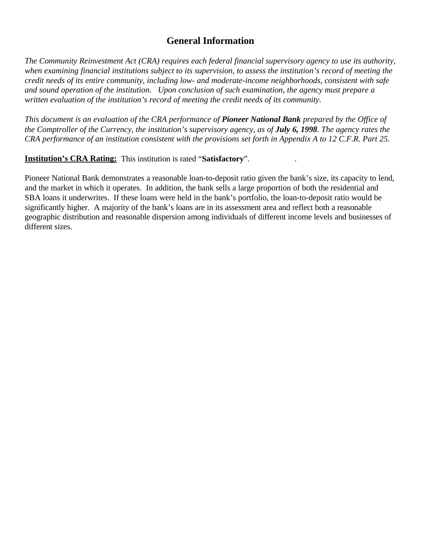# **General Information**

*The Community Reinvestment Act (CRA) requires each federal financial supervisory agency to use its authority, when examining financial institutions subject to its supervision, to assess the institution's record of meeting the credit needs of its entire community, including low- and moderate-income neighborhoods, consistent with safe and sound operation of the institution. Upon conclusion of such examination, the agency must prepare a written evaluation of the institution's record of meeting the credit needs of its community.* 

*This document is an evaluation of the CRA performance of Pioneer National Bank prepared by the Office of the Comptroller of the Currency, the institution's supervisory agency, as of July 6, 1998. The agency rates the CRA performance of an institution consistent with the provisions set forth in Appendix A to 12 C.F.R. Part 25.*

**Institution's CRA Rating:** This institution is rated "**Satisfactory**". .

Pioneer National Bank demonstrates a reasonable loan-to-deposit ratio given the bank's size, its capacity to lend, and the market in which it operates. In addition, the bank sells a large proportion of both the residential and SBA loans it underwrites. If these loans were held in the bank's portfolio, the loan-to-deposit ratio would be significantly higher. A majority of the bank's loans are in its assessment area and reflect both a reasonable geographic distribution and reasonable dispersion among individuals of different income levels and businesses of different sizes.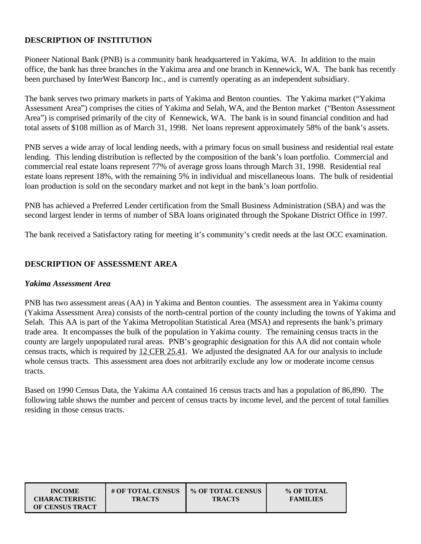#### **DESCRIPTION OF INSTITUTION**

Pioneer National Bank (PNB) is a community bank headquartered in Yakima, WA. In addition to the main office, the bank has three branches in the Yakima area and one branch in Kennewick, WA. The bank has recently been purchased by InterWest Bancorp Inc., and is currently operating as an independent subsidiary.

The bank serves two primary markets in parts of Yakima and Benton counties. The Yakima market ("Yakima Assessment Area") comprises the cities of Yakima and Selah, WA, and the Benton market ("Benton Assessment Area") is comprised primarily of the city of Kennewick, WA. The bank is in sound financial condition and had total assets of \$108 million as of March 31, 1998. Net loans represent approximately 58% of the bank's assets.

PNB serves a wide array of local lending needs, with a primary focus on small business and residential real estate lending. This lending distribution is reflected by the composition of the bank's loan portfolio. Commercial and commercial real estate loans represent 77% of average gross loans through March 31, 1998. Residential real estate loans represent 18%, with the remaining 5% in individual and miscellaneous loans. The bulk of residential loan production is sold on the secondary market and not kept in the bank's loan portfolio.

PNB has achieved a Preferred Lender certification from the Small Business Administration (SBA) and was the second largest lender in terms of number of SBA loans originated through the Spokane District Office in 1997.

The bank received a Satisfactory rating for meeting it's community's credit needs at the last OCC examination.

#### **DESCRIPTION OF ASSESSMENT AREA**

#### *Yakima Assessment Area*

PNB has two assessment areas (AA) in Yakima and Benton counties. The assessment area in Yakima county (Yakima Assessment Area) consists of the north-central portion of the county including the towns of Yakima and Selah. This AA is part of the Yakima Metropolitan Statistical Area (MSA) and represents the bank's primary trade area. It encompasses the bulk of the population in Yakima county. The remaining census tracts in the county are largely unpopulated rural areas. PNB's geographic designation for this AA did not contain whole census tracts, which is required by 12 CFR 25.41. We adjusted the designated AA for our analysis to include whole census tracts. This assessment area does not arbitrarily exclude any low or moderate income census tracts.

Based on 1990 Census Data, the Yakima AA contained 16 census tracts and has a population of 86,890. The following table shows the number and percent of census tracts by income level, and the percent of total families residing in those census tracts.

| <b>INCOME</b>          | # OF TOTAL CENSUS | % OF TOTAL CENSUS | % OF TOTAL      |
|------------------------|-------------------|-------------------|-----------------|
| <b>CHARACTERISTIC</b>  | <b>TRACTS</b>     | <b>TRACTS</b>     | <b>FAMILIES</b> |
| <b>OF CENSUS TRACT</b> |                   |                   |                 |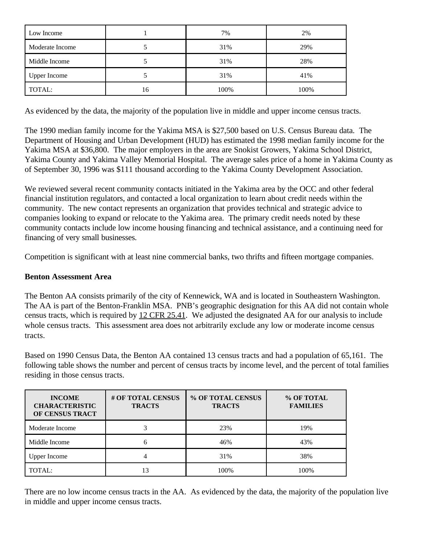| Low Income          |    | 7%   | 2%   |
|---------------------|----|------|------|
| Moderate Income     |    | 31%  | 29%  |
| Middle Income       |    | 31%  | 28%  |
| <b>Upper Income</b> |    | 31%  | 41%  |
| TOTAL:              | 16 | 100% | 100% |

As evidenced by the data, the majority of the population live in middle and upper income census tracts.

The 1990 median family income for the Yakima MSA is \$27,500 based on U.S. Census Bureau data. The Department of Housing and Urban Development (HUD) has estimated the 1998 median family income for the Yakima MSA at \$36,800. The major employers in the area are Snokist Growers, Yakima School District, Yakima County and Yakima Valley Memorial Hospital. The average sales price of a home in Yakima County as of September 30, 1996 was \$111 thousand according to the Yakima County Development Association.

We reviewed several recent community contacts initiated in the Yakima area by the OCC and other federal financial institution regulators, and contacted a local organization to learn about credit needs within the community. The new contact represents an organization that provides technical and strategic advice to companies looking to expand or relocate to the Yakima area. The primary credit needs noted by these community contacts include low income housing financing and technical assistance, and a continuing need for financing of very small businesses.

Competition is significant with at least nine commercial banks, two thrifts and fifteen mortgage companies.

#### **Benton Assessment Area**

The Benton AA consists primarily of the city of Kennewick, WA and is located in Southeastern Washington. The AA is part of the Benton-Franklin MSA. PNB's geographic designation for this AA did not contain whole census tracts, which is required by 12 CFR 25.41. We adjusted the designated AA for our analysis to include whole census tracts. This assessment area does not arbitrarily exclude any low or moderate income census tracts.

Based on 1990 Census Data, the Benton AA contained 13 census tracts and had a population of 65,161. The following table shows the number and percent of census tracts by income level, and the percent of total families residing in those census tracts.

| <b>INCOME</b><br><b>CHARACTERISTIC</b><br>OF CENSUS TRACT | # OF TOTAL CENSUS<br><b>TRACTS</b> | % OF TOTAL CENSUS<br><b>TRACTS</b> | % OF TOTAL<br><b>FAMILIES</b> |
|-----------------------------------------------------------|------------------------------------|------------------------------------|-------------------------------|
| Moderate Income                                           |                                    | 23%                                | 19%                           |
| Middle Income                                             | 6                                  | 46%                                | 43%                           |
| <b>Upper Income</b>                                       |                                    | 31%                                | 38%                           |
| TOTAL:                                                    | 13                                 | 100%                               | 100%                          |

There are no low income census tracts in the AA. As evidenced by the data, the majority of the population live in middle and upper income census tracts.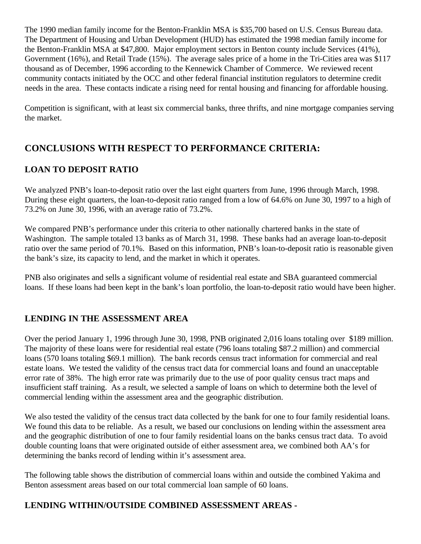The 1990 median family income for the Benton-Franklin MSA is \$35,700 based on U.S. Census Bureau data. The Department of Housing and Urban Development (HUD) has estimated the 1998 median family income for the Benton-Franklin MSA at \$47,800. Major employment sectors in Benton county include Services (41%), Government (16%), and Retail Trade (15%). The average sales price of a home in the Tri-Cities area was \$117 thousand as of December, 1996 according to the Kennewick Chamber of Commerce. We reviewed recent community contacts initiated by the OCC and other federal financial institution regulators to determine credit needs in the area. These contacts indicate a rising need for rental housing and financing for affordable housing.

Competition is significant, with at least six commercial banks, three thrifts, and nine mortgage companies serving the market.

# **CONCLUSIONS WITH RESPECT TO PERFORMANCE CRITERIA:**

# **LOAN TO DEPOSIT RATIO**

We analyzed PNB's loan-to-deposit ratio over the last eight quarters from June, 1996 through March, 1998. During these eight quarters, the loan-to-deposit ratio ranged from a low of 64.6% on June 30, 1997 to a high of 73.2% on June 30, 1996, with an average ratio of 73.2%.

We compared PNB's performance under this criteria to other nationally chartered banks in the state of Washington. The sample totaled 13 banks as of March 31, 1998. These banks had an average loan-to-deposit ratio over the same period of 70.1%. Based on this information, PNB's loan-to-deposit ratio is reasonable given the bank's size, its capacity to lend, and the market in which it operates.

PNB also originates and sells a significant volume of residential real estate and SBA guaranteed commercial loans. If these loans had been kept in the bank's loan portfolio, the loan-to-deposit ratio would have been higher.

# **LENDING IN THE ASSESSMENT AREA**

Over the period January 1, 1996 through June 30, 1998, PNB originated 2,016 loans totaling over \$189 million. The majority of these loans were for residential real estate (796 loans totaling \$87.2 million) and commercial loans (570 loans totaling \$69.1 million). The bank records census tract information for commercial and real estate loans. We tested the validity of the census tract data for commercial loans and found an unacceptable error rate of 38%. The high error rate was primarily due to the use of poor quality census tract maps and insufficient staff training. As a result, we selected a sample of loans on which to determine both the level of commercial lending within the assessment area and the geographic distribution.

We also tested the validity of the census tract data collected by the bank for one to four family residential loans. We found this data to be reliable. As a result, we based our conclusions on lending within the assessment area and the geographic distribution of one to four family residential loans on the banks census tract data. To avoid double counting loans that were originated outside of either assessment area, we combined both AA's for determining the banks record of lending within it's assessment area.

The following table shows the distribution of commercial loans within and outside the combined Yakima and Benton assessment areas based on our total commercial loan sample of 60 loans.

# **LENDING WITHIN/OUTSIDE COMBINED ASSESSMENT AREAS -**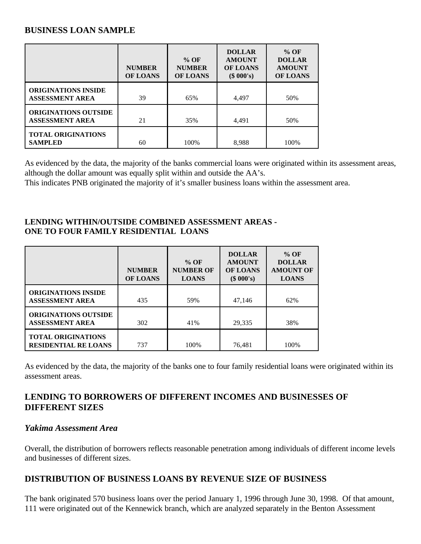# **BUSINESS LOAN SAMPLE**

|                                                       | <b>NUMBER</b><br><b>OF LOANS</b> | $%$ OF<br><b>NUMBER</b><br><b>OF LOANS</b> | <b>DOLLAR</b><br><b>AMOUNT</b><br><b>OF LOANS</b><br>(\$000's) | $%$ OF<br><b>DOLLAR</b><br><b>AMOUNT</b><br><b>OF LOANS</b> |
|-------------------------------------------------------|----------------------------------|--------------------------------------------|----------------------------------------------------------------|-------------------------------------------------------------|
| <b>ORIGINATIONS INSIDE</b><br><b>ASSESSMENT AREA</b>  | 39                               | 65%                                        | 4,497                                                          | 50%                                                         |
| <b>ORIGINATIONS OUTSIDE</b><br><b>ASSESSMENT AREA</b> | 21                               | 35%                                        | 4,491                                                          | 50%                                                         |
| <b>TOTAL ORIGINATIONS</b><br><b>SAMPLED</b>           | 60                               | 100%                                       | 8.988                                                          | 100%                                                        |

As evidenced by the data, the majority of the banks commercial loans were originated within its assessment areas, although the dollar amount was equally split within and outside the AA's.

This indicates PNB originated the majority of it's smaller business loans within the assessment area.

#### **LENDING WITHIN/OUTSIDE COMBINED ASSESSMENT AREAS - ONE TO FOUR FAMILY RESIDENTIAL LOANS**

|                                                          | <b>NUMBER</b><br><b>OF LOANS</b> | $%$ OF<br><b>NUMBER OF</b><br><b>LOANS</b> | <b>DOLLAR</b><br><b>AMOUNT</b><br><b>OF LOANS</b><br>(\$000's) | $%$ OF<br><b>DOLLAR</b><br><b>AMOUNT OF</b><br><b>LOANS</b> |
|----------------------------------------------------------|----------------------------------|--------------------------------------------|----------------------------------------------------------------|-------------------------------------------------------------|
| <b>ORIGINATIONS INSIDE</b><br><b>ASSESSMENT AREA</b>     | 435                              | 59%                                        | 47,146                                                         | 62%                                                         |
| <b>ORIGINATIONS OUTSIDE</b><br><b>ASSESSMENT AREA</b>    | 302                              | 41%                                        | 29,335                                                         | 38%                                                         |
| <b>TOTAL ORIGINATIONS</b><br><b>RESIDENTIAL RE LOANS</b> | 737                              | 100%                                       | 76,481                                                         | 100%                                                        |

As evidenced by the data, the majority of the banks one to four family residential loans were originated within its assessment areas.

# **LENDING TO BORROWERS OF DIFFERENT INCOMES AND BUSINESSES OF DIFFERENT SIZES**

#### *Yakima Assessment Area*

Overall, the distribution of borrowers reflects reasonable penetration among individuals of different income levels and businesses of different sizes.

## **DISTRIBUTION OF BUSINESS LOANS BY REVENUE SIZE OF BUSINESS**

The bank originated 570 business loans over the period January 1, 1996 through June 30, 1998. Of that amount, 111 were originated out of the Kennewick branch, which are analyzed separately in the Benton Assessment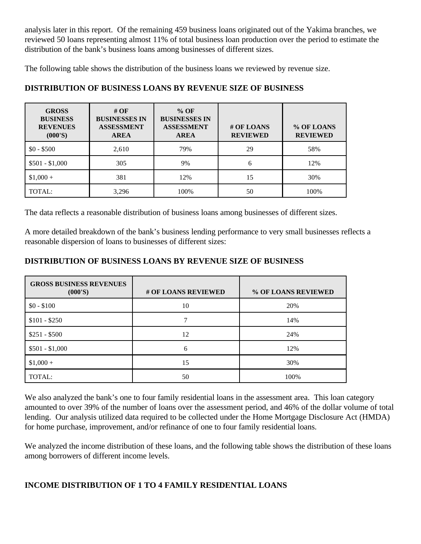analysis later in this report. Of the remaining 459 business loans originated out of the Yakima branches, we reviewed 50 loans representing almost 11% of total business loan production over the period to estimate the distribution of the bank's business loans among businesses of different sizes.

The following table shows the distribution of the business loans we reviewed by revenue size.

| <b>GROSS</b><br><b>BUSINESS</b><br><b>REVENUES</b><br>(000'S) | # $OF$<br><b>BUSINESSES IN</b><br><b>ASSESSMENT</b><br><b>AREA</b> | $%$ OF<br><b>BUSINESSES IN</b><br><b>ASSESSMENT</b><br><b>AREA</b> | # OF LOANS<br><b>REVIEWED</b> | % OF LOANS<br><b>REVIEWED</b> |
|---------------------------------------------------------------|--------------------------------------------------------------------|--------------------------------------------------------------------|-------------------------------|-------------------------------|
| $$0 - $500$                                                   | 2,610                                                              | 79%                                                                | 29                            | 58%                           |
| $$501 - $1,000$                                               | 305                                                                | 9%                                                                 | 6                             | 12%                           |
| $$1,000+$                                                     | 381                                                                | 12%                                                                | 15                            | 30%                           |
| TOTAL:                                                        | 3,296                                                              | 100%                                                               | 50                            | 100%                          |

## **DISTRIBUTION OF BUSINESS LOANS BY REVENUE SIZE OF BUSINESS**

The data reflects a reasonable distribution of business loans among businesses of different sizes.

A more detailed breakdown of the bank's business lending performance to very small businesses reflects a reasonable dispersion of loans to businesses of different sizes:

#### **DISTRIBUTION OF BUSINESS LOANS BY REVENUE SIZE OF BUSINESS**

| <b>GROSS BUSINESS REVENUES</b><br>(000'S) | # OF LOANS REVIEWED | % OF LOANS REVIEWED |
|-------------------------------------------|---------------------|---------------------|
| $$0 - $100$                               | 10                  | 20%                 |
| $$101 - $250$                             |                     | 14%                 |
| $$251 - $500$                             | 12                  | 24%                 |
| $$501 - $1,000$                           | 6                   | 12%                 |
| $$1,000 +$                                | 15                  | 30%                 |
| TOTAL:                                    | 50                  | 100%                |

We also analyzed the bank's one to four family residential loans in the assessment area. This loan category amounted to over 39% of the number of loans over the assessment period, and 46% of the dollar volume of total lending. Our analysis utilized data required to be collected under the Home Mortgage Disclosure Act (HMDA) for home purchase, improvement, and/or refinance of one to four family residential loans.

We analyzed the income distribution of these loans, and the following table shows the distribution of these loans among borrowers of different income levels.

## **INCOME DISTRIBUTION OF 1 TO 4 FAMILY RESIDENTIAL LOANS**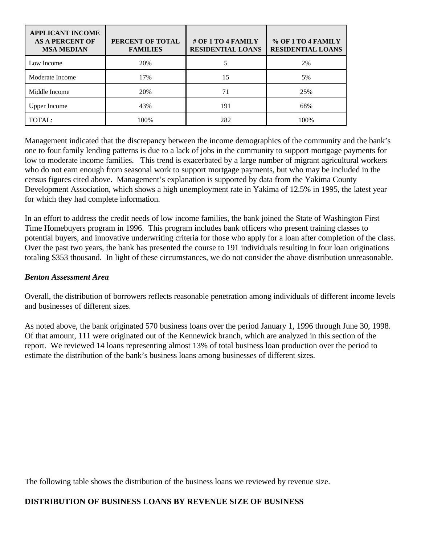| <b>APPLICANT INCOME</b><br><b>AS A PERCENT OF</b><br><b>MSA MEDIAN</b> | PERCENT OF TOTAL<br><b>FAMILIES</b> | # OF 1 TO 4 FAMILY<br><b>RESIDENTIAL LOANS</b> | % OF 1 TO 4 FAMILY<br><b>RESIDENTIAL LOANS</b> |
|------------------------------------------------------------------------|-------------------------------------|------------------------------------------------|------------------------------------------------|
| Low Income                                                             | 20%                                 |                                                | 2%                                             |
| Moderate Income                                                        | 17%                                 | 15                                             | 5%                                             |
| Middle Income                                                          | 20%                                 | 71                                             | 25%                                            |
| <b>Upper Income</b>                                                    | 43%                                 | 191                                            | 68%                                            |
| TOTAL:                                                                 | 100%                                | 282                                            | 100%                                           |

Management indicated that the discrepancy between the income demographics of the community and the bank's one to four family lending patterns is due to a lack of jobs in the community to support mortgage payments for low to moderate income families. This trend is exacerbated by a large number of migrant agricultural workers who do not earn enough from seasonal work to support mortgage payments, but who may be included in the census figures cited above. Management's explanation is supported by data from the Yakima County Development Association, which shows a high unemployment rate in Yakima of 12.5% in 1995, the latest year for which they had complete information.

In an effort to address the credit needs of low income families, the bank joined the State of Washington First Time Homebuyers program in 1996. This program includes bank officers who present training classes to potential buyers, and innovative underwriting criteria for those who apply for a loan after completion of the class. Over the past two years, the bank has presented the course to 191 individuals resulting in four loan originations totaling \$353 thousand. In light of these circumstances, we do not consider the above distribution unreasonable.

#### *Benton Assessment Area*

Overall, the distribution of borrowers reflects reasonable penetration among individuals of different income levels and businesses of different sizes.

As noted above, the bank originated 570 business loans over the period January 1, 1996 through June 30, 1998. Of that amount, 111 were originated out of the Kennewick branch, which are analyzed in this section of the report. We reviewed 14 loans representing almost 13% of total business loan production over the period to estimate the distribution of the bank's business loans among businesses of different sizes.

The following table shows the distribution of the business loans we reviewed by revenue size.

# **DISTRIBUTION OF BUSINESS LOANS BY REVENUE SIZE OF BUSINESS**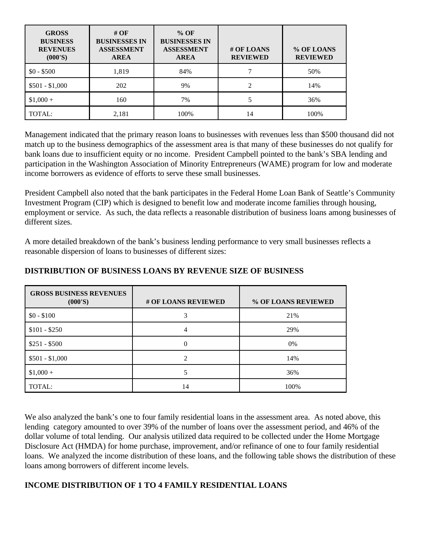| <b>GROSS</b><br><b>BUSINESS</b><br><b>REVENUES</b><br>(000'S) | # OF<br><b>BUSINESSES IN</b><br><b>ASSESSMENT</b><br><b>AREA</b> | $%$ OF<br><b>BUSINESSES IN</b><br><b>ASSESSMENT</b><br><b>AREA</b> | # OF LOANS<br><b>REVIEWED</b> | % OF LOANS<br><b>REVIEWED</b> |
|---------------------------------------------------------------|------------------------------------------------------------------|--------------------------------------------------------------------|-------------------------------|-------------------------------|
| $$0 - $500$                                                   | 1,819                                                            | 84%                                                                |                               | 50%                           |
| $$501 - $1,000$                                               | 202                                                              | 9%                                                                 | $\overline{c}$                | 14%                           |
| $$1,000+$                                                     | 160                                                              | 7%                                                                 |                               | 36%                           |
| TOTAL:                                                        | 2,181                                                            | 100%                                                               | 14                            | 100%                          |

Management indicated that the primary reason loans to businesses with revenues less than \$500 thousand did not match up to the business demographics of the assessment area is that many of these businesses do not qualify for bank loans due to insufficient equity or no income. President Campbell pointed to the bank's SBA lending and participation in the Washington Association of Minority Entrepreneurs (WAME) program for low and moderate income borrowers as evidence of efforts to serve these small businesses.

President Campbell also noted that the bank participates in the Federal Home Loan Bank of Seattle's Community Investment Program (CIP) which is designed to benefit low and moderate income families through housing, employment or service. As such, the data reflects a reasonable distribution of business loans among businesses of different sizes.

A more detailed breakdown of the bank's business lending performance to very small businesses reflects a reasonable dispersion of loans to businesses of different sizes:

| <b>GROSS BUSINESS REVENUES</b><br>(000'S) | # OF LOANS REVIEWED | % OF LOANS REVIEWED |
|-------------------------------------------|---------------------|---------------------|
| $$0 - $100$                               | 3                   | 21%                 |
| $$101 - $250$                             | 4                   | 29%                 |
| $$251 - $500$                             |                     | $0\%$               |
| $$501 - $1,000$                           | C                   | 14%                 |
| $$1,000+$                                 |                     | 36%                 |
| TOTAL:                                    | 14                  | 100%                |

#### **DISTRIBUTION OF BUSINESS LOANS BY REVENUE SIZE OF BUSINESS**

We also analyzed the bank's one to four family residential loans in the assessment area. As noted above, this lending category amounted to over 39% of the number of loans over the assessment period, and 46% of the dollar volume of total lending. Our analysis utilized data required to be collected under the Home Mortgage Disclosure Act (HMDA) for home purchase, improvement, and/or refinance of one to four family residential loans. We analyzed the income distribution of these loans, and the following table shows the distribution of these loans among borrowers of different income levels.

## **INCOME DISTRIBUTION OF 1 TO 4 FAMILY RESIDENTIAL LOANS**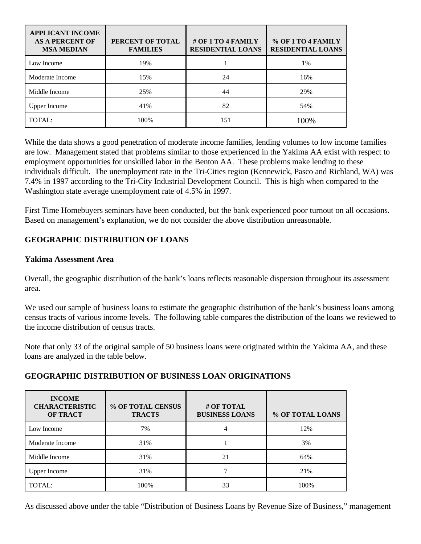| <b>APPLICANT INCOME</b><br><b>AS A PERCENT OF</b><br><b>MSA MEDIAN</b> | PERCENT OF TOTAL<br><b>FAMILIES</b> | # OF 1 TO 4 FAMILY<br><b>RESIDENTIAL LOANS</b> | % OF 1 TO 4 FAMILY<br><b>RESIDENTIAL LOANS</b> |
|------------------------------------------------------------------------|-------------------------------------|------------------------------------------------|------------------------------------------------|
| Low Income                                                             | 19%                                 |                                                | 1%                                             |
| Moderate Income                                                        | 15%                                 | 24                                             | 16%                                            |
| Middle Income                                                          | 25%                                 | 44                                             | 29%                                            |
| <b>Upper Income</b>                                                    | 41%                                 | 82                                             | 54%                                            |
| TOTAL:                                                                 | 100%                                | 151                                            | 100%                                           |

While the data shows a good penetration of moderate income families, lending volumes to low income families are low. Management stated that problems similar to those experienced in the Yakima AA exist with respect to employment opportunities for unskilled labor in the Benton AA. These problems make lending to these individuals difficult. The unemployment rate in the Tri-Cities region (Kennewick, Pasco and Richland, WA) was 7.4% in 1997 according to the Tri-City Industrial Development Council. This is high when compared to the Washington state average unemployment rate of 4.5% in 1997.

First Time Homebuyers seminars have been conducted, but the bank experienced poor turnout on all occasions. Based on management's explanation, we do not consider the above distribution unreasonable.

# **GEOGRAPHIC DISTRIBUTION OF LOANS**

#### **Yakima Assessment Area**

Overall, the geographic distribution of the bank's loans reflects reasonable dispersion throughout its assessment area.

We used our sample of business loans to estimate the geographic distribution of the bank's business loans among census tracts of various income levels. The following table compares the distribution of the loans we reviewed to the income distribution of census tracts.

Note that only 33 of the original sample of 50 business loans were originated within the Yakima AA, and these loans are analyzed in the table below.

#### **GEOGRAPHIC DISTRIBUTION OF BUSINESS LOAN ORIGINATIONS**

| <b>INCOME</b><br><b>CHARACTERISTIC</b><br><b>OF TRACT</b> | % OF TOTAL CENSUS<br><b>TRACTS</b> | # OF TOTAL<br><b>BUSINESS LOANS</b> | % OF TOTAL LOANS |
|-----------------------------------------------------------|------------------------------------|-------------------------------------|------------------|
| Low Income                                                | 7%                                 |                                     | 12%              |
| Moderate Income                                           | 31%                                |                                     | 3%               |
| Middle Income                                             | 31%                                | 21                                  | 64%              |
| <b>Upper Income</b>                                       | 31%                                |                                     | 21%              |
| TOTAL:                                                    | 100%                               | 33                                  | 100%             |

As discussed above under the table "Distribution of Business Loans by Revenue Size of Business," management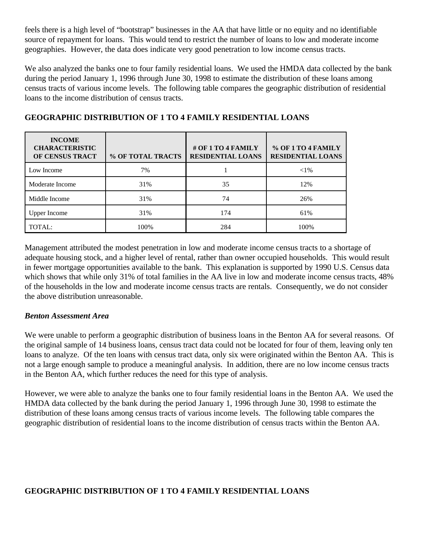feels there is a high level of "bootstrap" businesses in the AA that have little or no equity and no identifiable source of repayment for loans. This would tend to restrict the number of loans to low and moderate income geographies. However, the data does indicate very good penetration to low income census tracts.

We also analyzed the banks one to four family residential loans. We used the HMDA data collected by the bank during the period January 1, 1996 through June 30, 1998 to estimate the distribution of these loans among census tracts of various income levels. The following table compares the geographic distribution of residential loans to the income distribution of census tracts.

| <b>INCOME</b><br><b>CHARACTERISTIC</b><br>OF CENSUS TRACT | % OF TOTAL TRACTS | # OF 1 TO 4 FAMILY<br><b>RESIDENTIAL LOANS</b> | % OF 1 TO 4 FAMILY<br><b>RESIDENTIAL LOANS</b> |
|-----------------------------------------------------------|-------------------|------------------------------------------------|------------------------------------------------|
| Low Income                                                | 7%                |                                                | ${<}1\%$                                       |
| Moderate Income                                           | 31%               | 35                                             | 12%                                            |
| Middle Income                                             | 31%               | 74                                             | 26%                                            |
| <b>Upper Income</b>                                       | 31%               | 174                                            | 61%                                            |
| TOTAL:                                                    | 100%              | 284                                            | 100%                                           |

# **GEOGRAPHIC DISTRIBUTION OF 1 TO 4 FAMILY RESIDENTIAL LOANS**

Management attributed the modest penetration in low and moderate income census tracts to a shortage of adequate housing stock, and a higher level of rental, rather than owner occupied households. This would result in fewer mortgage opportunities available to the bank. This explanation is supported by 1990 U.S. Census data which shows that while only 31% of total families in the AA live in low and moderate income census tracts, 48% of the households in the low and moderate income census tracts are rentals. Consequently, we do not consider the above distribution unreasonable.

#### *Benton Assessment Area*

We were unable to perform a geographic distribution of business loans in the Benton AA for several reasons. Of the original sample of 14 business loans, census tract data could not be located for four of them, leaving only ten loans to analyze. Of the ten loans with census tract data, only six were originated within the Benton AA. This is not a large enough sample to produce a meaningful analysis. In addition, there are no low income census tracts in the Benton AA, which further reduces the need for this type of analysis.

However, we were able to analyze the banks one to four family residential loans in the Benton AA. We used the HMDA data collected by the bank during the period January 1, 1996 through June 30, 1998 to estimate the distribution of these loans among census tracts of various income levels. The following table compares the geographic distribution of residential loans to the income distribution of census tracts within the Benton AA.

## **GEOGRAPHIC DISTRIBUTION OF 1 TO 4 FAMILY RESIDENTIAL LOANS**